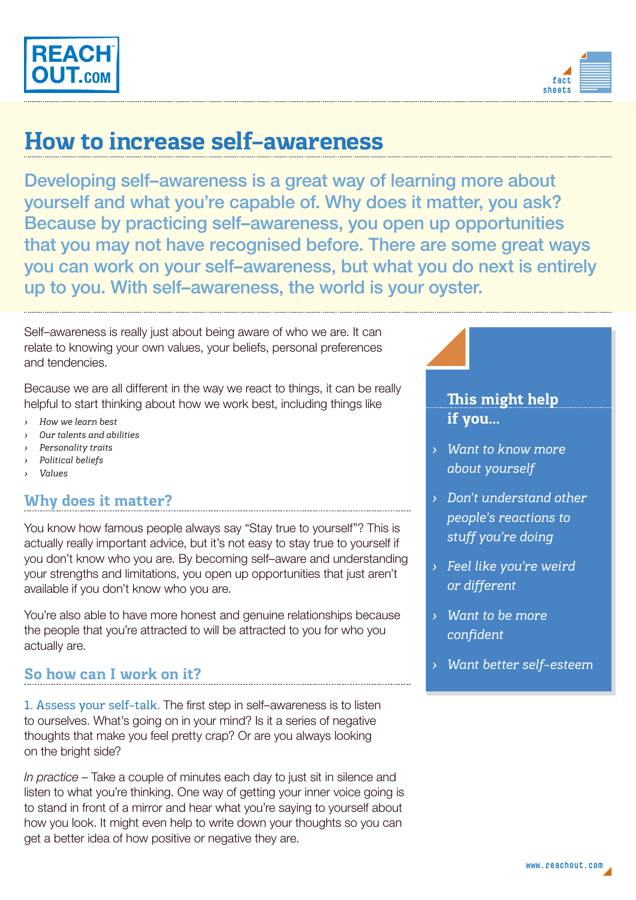



# **How to increase self–awareness**

Developing self–awareness is a great way of learning more about yourself and what you're capable of. Why does it matter, you ask? Because by practicing self–awareness, you open up opportunities that you may not have recognised before. There are some great ways you can work on your self–awareness, but what you do next is entirely up to you. With self–awareness, the world is your oyster.

Self–awareness is really just about being aware of who we are. It can relate to knowing your own values, your beliefs, personal preferences and tendencies.

Because we are all different in the way we react to things, it can be really helpful to start thinking about how we work best, including things like

- *› How we learn best*
- *› Our talents and abilities*
- *› Personality traits*
- *› Political beliefs*
- *› Values*

## **Why does it matter?**

You know how famous people always say "Stay true to yourself"? This is actually really important advice, but it's not easy to stay true to yourself if you don't know who you are. By becoming self–aware and understanding your strengths and limitations, you open up opportunities that just aren't available if you don't know who you are.

You're also able to have more honest and genuine relationships because the people that you're attracted to will be attracted to you for who you actually are.

## **So how can I work on it?**

1. Assess your self–talk. The first step in self–awareness is to listen to ourselves. What's going on in your mind? Is it a series of negative thoughts that make you feel pretty crap? Or are you always looking on the bright side?

*In practice* – Take a couple of minutes each day to just sit in silence and listen to what you're thinking. One way of getting your inner voice going is to stand in front of a mirror and hear what you're saying to yourself about how you look. It might even help to write down your thoughts so you can get a better idea of how positive or negative they are.

## **This might help if you...**

- *› Want to know more about yourself*
- *› Don't understand other people's reactions to stuff you're doing*
- *› Feel like you're weird or different*
- *› Want to be more confident*
- *› Want better self–esteem*